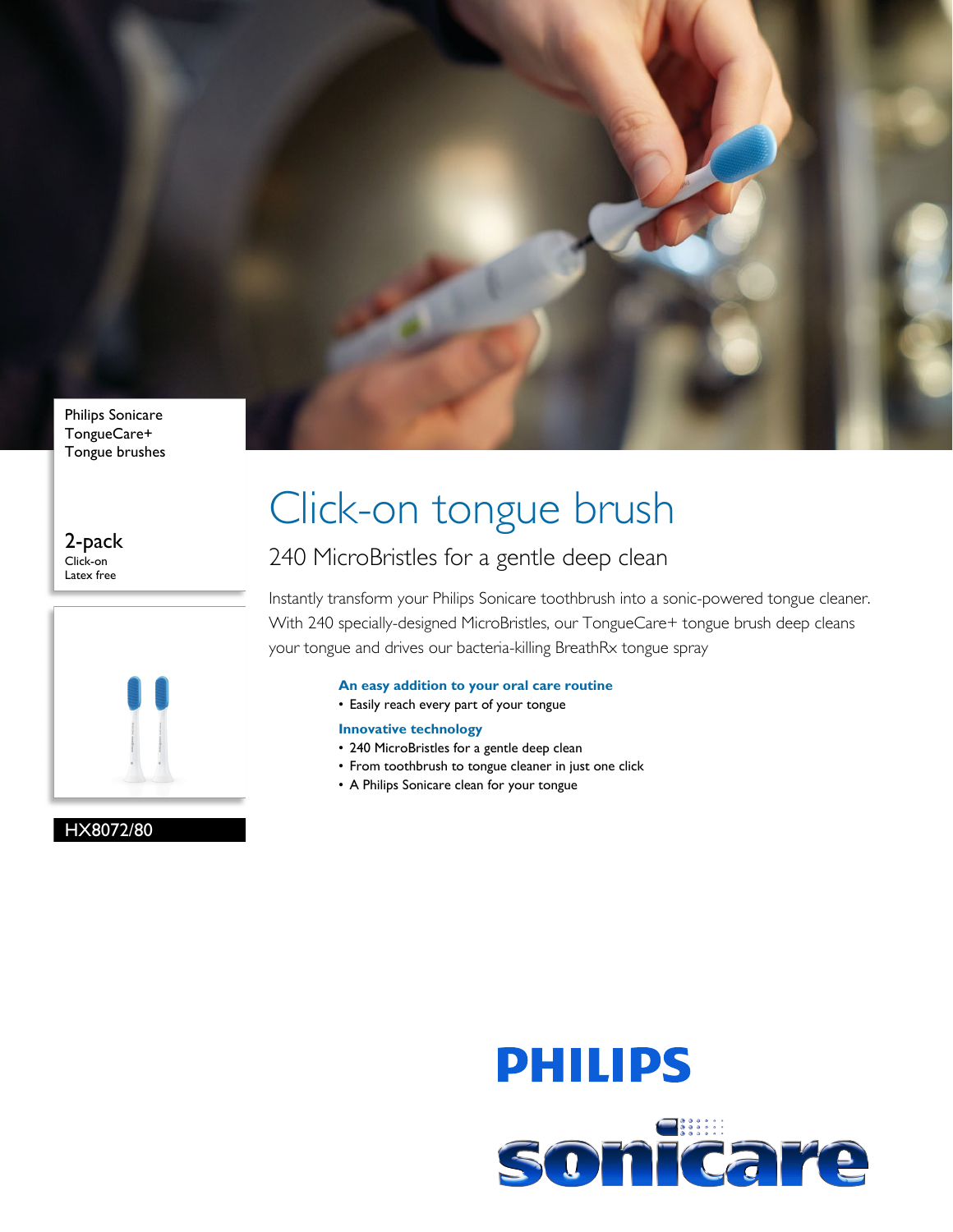

Tongue brushes

2-pack Click-on Latex free



HX8072/80

# Click-on tongue brush

### 240 MicroBristles for a gentle deep clean

Instantly transform your Philips Sonicare toothbrush into a sonic-powered tongue cleaner. With 240 specially-designed MicroBristles, our TongueCare+ tongue brush deep cleans your tongue and drives our bacteria-killing BreathRx tongue spray

### **An easy addition to your oral care routine**

• Easily reach every part of your tongue

#### **Innovative technology**

- 240 MicroBristles for a gentle deep clean
- From toothbrush to tongue cleaner in just one click
- A Philips Sonicare clean for your tongue